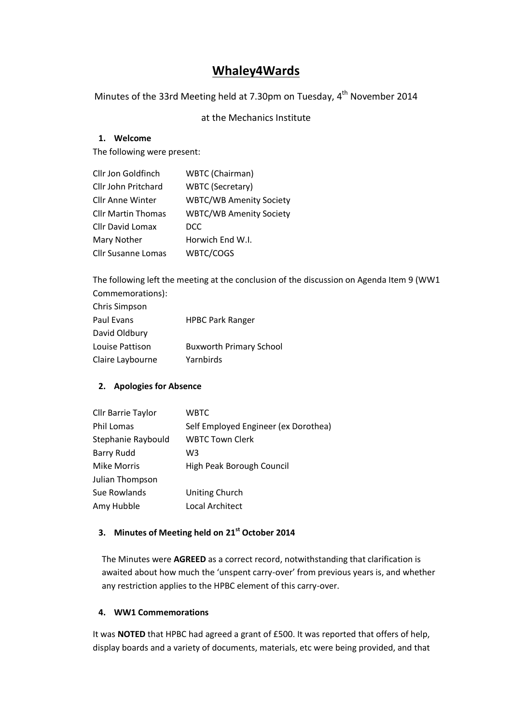# **Whaley4Wards**

Minutes of the 33rd Meeting held at 7.30pm on Tuesday, 4<sup>th</sup> November 2014

# at the Mechanics Institute

## **1. Welcome**

The following were present:

| Cllr Jon Goldfinch        | WBTC (Chairman)                |
|---------------------------|--------------------------------|
| Cllr John Pritchard       | <b>WBTC (Secretary)</b>        |
| <b>Cllr Anne Winter</b>   | <b>WBTC/WB Amenity Society</b> |
| <b>Cllr Martin Thomas</b> | <b>WBTC/WB Amenity Society</b> |
| <b>Cllr David Lomax</b>   | <b>DCC</b>                     |
| Mary Nother               | Horwich End W.I.               |
| <b>Cllr Susanne Lomas</b> | WBTC/COGS                      |

The following left the meeting at the conclusion of the discussion on Agenda Item 9 (WW1 Commemorations):

| Chris Simpson    |                                |
|------------------|--------------------------------|
| Paul Evans       | <b>HPBC Park Ranger</b>        |
| David Oldbury    |                                |
| Louise Pattison  | <b>Buxworth Primary School</b> |
| Claire Laybourne | Yarnbirds                      |
|                  |                                |

## **2. Apologies for Absence**

| <b>WBTC</b>                          |
|--------------------------------------|
| Self Employed Engineer (ex Dorothea) |
| <b>WBTC Town Clerk</b>               |
| W3                                   |
| High Peak Borough Council            |
|                                      |
| <b>Uniting Church</b>                |
| Local Architect                      |
|                                      |

# **3. Minutes of Meeting held on 21 st October 2014**

The Minutes were **AGREED** as a correct record, notwithstanding that clarification is awaited about how much the 'unspent carry-over' from previous years is, and whether any restriction applies to the HPBC element of this carry-over.

#### **4. WW1 Commemorations**

It was **NOTED** that HPBC had agreed a grant of £500. It was reported that offers of help, display boards and a variety of documents, materials, etc were being provided, and that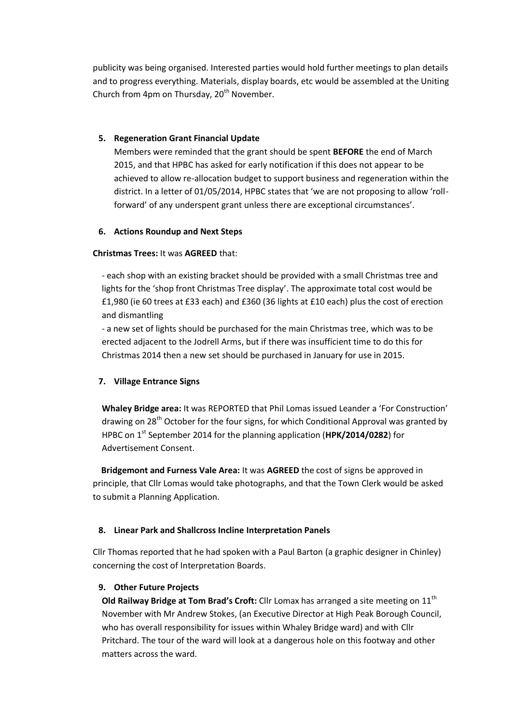publicity was being organised. Interested parties would hold further meetings to plan details and to progress everything. Materials, display boards, etc would be assembled at the Uniting Church from 4pm on Thursday,  $20<sup>th</sup>$  November.

### **5. Regeneration Grant Financial Update**

Members were reminded that the grant should be spent **BEFORE** the end of March 2015, and that HPBC has asked for early notification if this does not appear to be achieved to allow re-allocation budget to support business and regeneration within the district. In a letter of 01/05/2014, HPBC states that 'we are not proposing to allow 'rollforward' of any underspent grant unless there are exceptional circumstances'.

### **6. Actions Roundup and Next Steps**

### **Christmas Trees:** It was **AGREED** that:

- each shop with an existing bracket should be provided with a small Christmas tree and lights for the 'shop front Christmas Tree display'. The approximate total cost would be £1,980 (ie 60 trees at £33 each) and £360 (36 lights at £10 each) plus the cost of erection and dismantling

- a new set of lights should be purchased for the main Christmas tree, which was to be erected adjacent to the Jodrell Arms, but if there was insufficient time to do this for Christmas 2014 then a new set should be purchased in January for use in 2015.

## **7. Village Entrance Signs**

**Whaley Bridge area:** It was REPORTED that Phil Lomas issued Leander a 'For Construction' drawing on 28<sup>th</sup> October for the four signs, for which Conditional Approval was granted by HPBC on 1st September 2014 for the planning application (**HPK/2014/0282**) for Advertisement Consent.

 **Bridgemont and Furness Vale Area:** It was **AGREED** the cost of signs be approved in principle, that Cllr Lomas would take photographs, and that the Town Clerk would be asked to submit a Planning Application.

## **8. Linear Park and Shallcross Incline Interpretation Panels**

Cllr Thomas reported that he had spoken with a Paul Barton (a graphic designer in Chinley) concerning the cost of Interpretation Boards.

## **9. Other Future Projects**

**Old Railway Bridge at Tom Brad's Croft:** Cllr Lomax has arranged a site meeting on 11<sup>th</sup> November with Mr Andrew Stokes, (an Executive Director at High Peak Borough Council, who has overall responsibility for issues within Whaley Bridge ward) and with Cllr Pritchard. The tour of the ward will look at a dangerous hole on this footway and other matters across the ward.